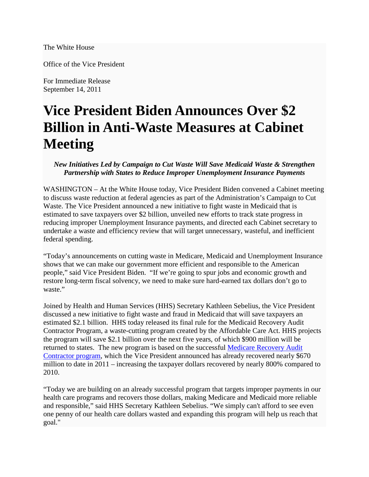## The White House

Office of the Vice President

For Immediate Release September 14, 2011

## **Vice President Biden Announces Over \$2 Billion in Anti-Waste Measures at Cabinet Meeting**

*New Initiatives Led by Campaign to Cut Waste Will Save Medicaid Waste & Strengthen Partnership with States to Reduce Improper Unemployment Insurance Payments*

WASHINGTON – At the White House today, Vice President Biden convened a Cabinet meeting to discuss waste reduction at federal agencies as part of the Administration's Campaign to Cut Waste. The Vice President announced a new initiative to fight waste in Medicaid that is estimated to save taxpayers over \$2 billion, unveiled new efforts to track state progress in reducing improper Unemployment Insurance payments, and directed each Cabinet secretary to undertake a waste and efficiency review that will target unnecessary, wasteful, and inefficient federal spending.

"Today's announcements on cutting waste in Medicare, Medicaid and Unemployment Insurance shows that we can make our government more efficient and responsible to the American people," said Vice President Biden. "If we're going to spur jobs and economic growth and restore long-term fiscal solvency, we need to make sure hard-earned tax dollars don't go to waste."

Joined by Health and Human Services (HHS) Secretary Kathleen Sebelius, the Vice President discussed a new initiative to fight waste and fraud in Medicaid that will save taxpayers an estimated \$2.1 billion. HHS today released its final rule for the Medicaid Recovery Audit Contractor Program, a waste-cutting program created by the Affordable Care Act. HHS projects the program will save \$2.1 billion over the next five years, of which \$900 million will be returned to states. The new program is based on the successful [Medicare Recovery Audit](http://www.healthcare.gov/news/factsheets/fraud09142011a.html)  [Contractor program,](http://www.healthcare.gov/news/factsheets/fraud09142011a.html) which the Vice President announced has already recovered nearly \$670 million to date in 2011 – increasing the taxpayer dollars recovered by nearly 800% compared to 2010.

"Today we are building on an already successful program that targets improper payments in our health care programs and recovers those dollars, making Medicare and Medicaid more reliable and responsible," said HHS Secretary Kathleen Sebelius. "We simply can't afford to see even one penny of our health care dollars wasted and expanding this program will help us reach that goal."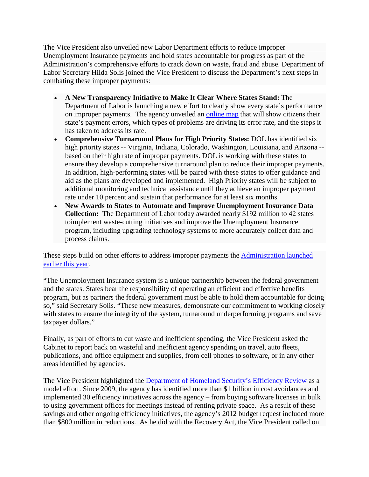The Vice President also unveiled new Labor Department efforts to reduce improper Unemployment Insurance payments and hold states accountable for progress as part of the Administration's comprehensive efforts to crack down on waste, fraud and abuse. Department of Labor Secretary Hilda Solis joined the Vice President to discuss the Department's next steps in combating these improper payments:

- **A New Transparency Initiative to Make It Clear Where States Stand:** The Department of Labor is launching a new effort to clearly show every state's performance on improper payments. The agency unveiled an [online map](http://www.dol.gov/dol/maps/map-ipia.htm) that will show citizens their state's payment errors, which types of problems are driving its error rate, and the steps it has taken to address its rate.
- **Comprehensive Turnaround Plans for High Priority States:** DOL has identified six high priority states -- Virginia, Indiana, Colorado, Washington, Louisiana, and Arizona - based on their high rate of improper payments. DOL is working with these states to ensure they develop a comprehensive turnaround plan to reduce their improper payments. In addition, high-performing states will be paired with these states to offer guidance and aid as the plans are developed and implemented. High Priority states will be subject to additional monitoring and technical assistance until they achieve an improper payment rate under 10 percent and sustain that performance for at least six months.
- **New Awards to States to Automate and Improve Unemployment Insurance Data Collection:** The Department of Labor today awarded nearly \$192 million to 42 states toimplement waste-cutting initiatives and improve the Unemployment Insurance program, including upgrading technology systems to more accurately collect data and process claims.

These steps build on other efforts to address improper payments the [Administration launched](http://www.dol.gov/dol/maps/Strategies.htm)  [earlier this year.](http://www.dol.gov/dol/maps/Strategies.htm)

"The Unemployment Insurance system is a unique partnership between the federal government and the states. States bear the responsibility of operating an efficient and effective benefits program, but as partners the federal government must be able to hold them accountable for doing so," said Secretary Solis. "These new measures, demonstrate our commitment to working closely with states to ensure the integrity of the system, turnaround underperforming programs and save taxpayer dollars."

Finally, as part of efforts to cut waste and inefficient spending, the Vice President asked the Cabinet to report back on wasteful and inefficient agency spending on travel, auto fleets, publications, and office equipment and supplies, from cell phones to software, or in any other areas identified by agencies.

The Vice President highlighted the [Department of Homeland Security's Efficiency Review](http://www.dhs.gov/xabout/budget/efficiency-review.shtm) as a model effort. Since 2009, the agency has identified more than \$1 billion in cost avoidances and implemented 30 efficiency initiatives across the agency – from buying software licenses in bulk to using government offices for meetings instead of renting private space. As a result of these savings and other ongoing efficiency initiatives, the agency's 2012 budget request included more than \$800 million in reductions. As he did with the Recovery Act, the Vice President called on